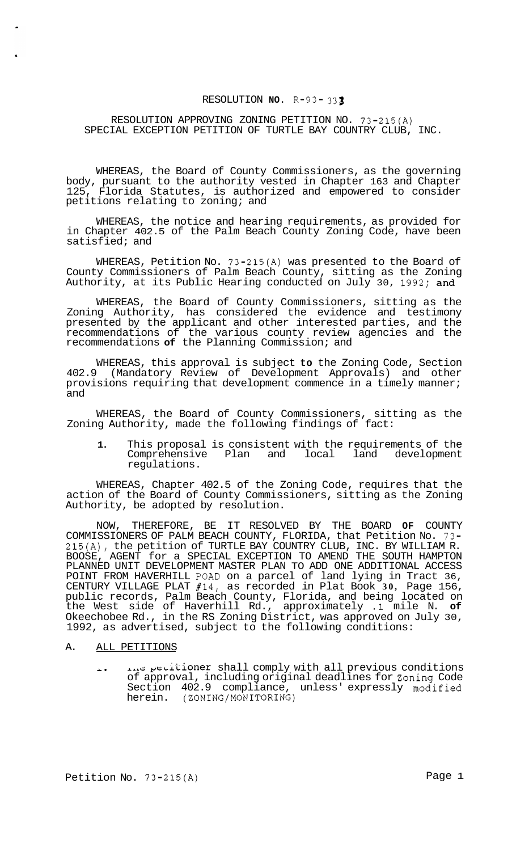## RESOLUTION **NO.** R-93- *<sup>333</sup>*

### RESOLUTION APPROVING ZONING PETITION NO. 73-215(A) SPECIAL EXCEPTION PETITION OF TURTLE BAY COUNTRY CLUB, INC.

WHEREAS, the Board of County Commissioners, as the governing body, pursuant to the authority vested in Chapter 163 and Chapter 125, Florida Statutes, is authorized and empowered to consider petitions relating to zoning; and

WHEREAS, the notice and hearing requirements, as provided for in Chapter 402.5 of the Palm Beach County Zoning Code, have been satisfied; and

WHEREAS, Petition No. 73-215(A) was presented to the Board of County Commissioners of Palm Beach County, sitting as the Zoning Authority, at its Public Hearing conducted on July 30, 1992; and

WHEREAS, the Board of County Commissioners, sitting as the Zoning Authority, has considered the evidence and testimony presented by the applicant and other interested parties, and the recommendations of the various county review agencies and the recommendations **of** the Planning Commission; and

WHEREAS, this approval is subject **to** the Zoning Code, Section 402.9 (Mandatory Review of Development Approvals) and other provisions requiring that development commence in a timely manner; and

WHEREAS, the Board of County Commissioners, sitting as the Zoning Authority, made the following findings of fact:

**1.** This proposal is consistent with the requirements of the Comprehensive Plan and local land development regulations.

WHEREAS, Chapter 402.5 of the Zoning Code, requires that the action of the Board of County Commissioners, sitting as the Zoning Authority, be adopted by resolution.

NOW, THEREFORE, BE IT RESOLVED BY THE BOARD **OF** COUNTY COMMISSIONERS OF PALM BEACH COUNTY, FLORIDA, that Petition No. 73- 215(A), the petition of TURTLE BAY COUNTRY CLUB, INC. BY WILLIAM R. BOOSE, AGENT for a SPECIAL EXCEPTION TO AMEND THE SOUTH HAMPTON PLANNED UNIT DEVELOPMENT MASTER PLAN TO ADD ONE ADDITIONAL ACCESS POINT FROM HAVERHILL POAD on a parcel of land lying in Tract 36, CENTURY VILLAGE PLAT #14, as recorded in Plat Book **30,** Page 156, public records, Palm Beach County, Florida, and being located on the West side of Haverhill Rd., approximately **.1** mile N. **of**  Okeechobee Rd., in the RS Zoning District, was approved on July 30, 1992, as advertised, subject to the following conditions:

### A. ALL PETITIONS

*A.* **LA.&** pt~i'LioneK shall comply with all previous conditions of approval, including original deadlines for Zoning Code Section 402.9 compliance, unless' expressly modified herein. (ZONING/MONITORING)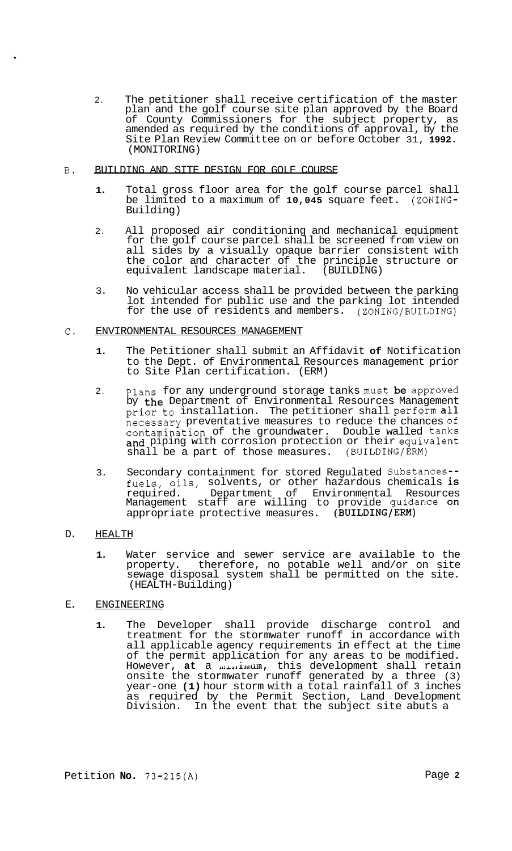- 2. The petitioner shall receive certification of the master plan and the golf course site plan approved by the Board of County Commissioners for the subject property, as amended as required by the conditions of approval, by the Site Plan Review Committee on or before October 31, **1992.**  (MONITORING)
- B. BUILDING AND SITE DESIGN FOR GOLF COURSE
	- **1.** Total gross floor area for the golf course parcel shall be limited to a maximum of **10,045** square feet. (ZONING-Building)
	- 2. All proposed air conditioning and mechanical equipment for the golf course parcel shall be screened from view on all sides by a visually opaque barrier consistent with the color and character of the principle structure or equivalent landscape material. (BUILDING)
	- 3. No vehicular access shall be provided between the parking lot intended for public use and the parking lot intended for the use of residents and members. (ZONING/BUILDING)

# **C.** ENVIRONMENTAL RESOURCES MANAGEMENT

- **1.** The Petitioner shall submit an Affidavit **of** Notification to the Dept. of Environmental Resources management prior to Site Plan certification. (ERM)
- 2. Plans for any underground storage tanks must **be** approved by the Department of Environmental Resources Management prior to installation. The petitioner shall perform all necessary preventative measures to reduce the chances of contamination of the groundwater. Double walled tanks and piping with corrosion protection or their equivalent shall be a part of those measures. (BUILDING/ERM)
- 3. Secondary containment for stored Regulated Substances- fuels, oils, solvents, or other hazardous chemicals is required. Department of Environmental Resources Management staff are willing to provide guidance on appropriate protective measures. (BUILDING/ERM)

# D. HEALTH

**1.** Water service and sewer service are available to the property. therefore, no potable well and/or on site sewage disposal system shall be permitted on the site. (HEALTH-Building)

# E. ENGINEERING

**1.** The Developer shall provide discharge control and treatment for the stormwater runoff in accordance with all applicable agency requirements in effect at the time of the permit application for any areas to be modified. However, **at** a **LLcr,liluclm,** this development shall retain onsite the stormwater runoff generated by a three (3) year-one **(1)** hour storm with a total rainfall of 3 inches as required by the Permit Section, Land Development Division. In the event that the subject site abuts a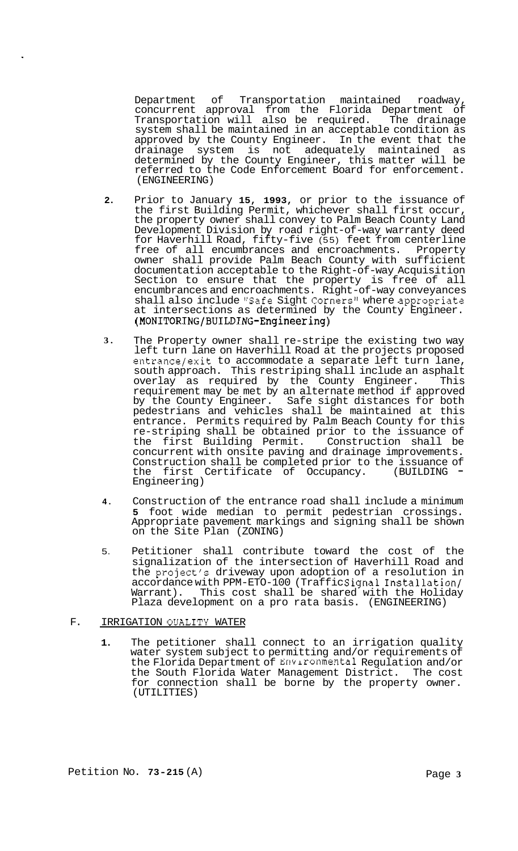Department of Transportation maintained roadway, concurrent approval from the Florida Department of<br>Transportation will also be required. The drainage Transportation will also be required. system shall be maintained in an acceptable condition as approved by the County Engineer. In the event that the drainage system is not adequately maintained as determined by the County Engineer, this matter will be referred to the Code Enforcement Board for enforcement. (ENGINEERING)

- **2.**  Prior to January **15, 1993,** or prior to the issuance of the first Building Permit, whichever shall first occur, the property owner shall convey to Palm Beach County Land Development Division by road right-of-way warranty deed for Haverhill Road, fifty-five (55) feet from centerline free of all encumbrances and encroachments. Property owner shall provide Palm Beach County with sufficient documentation acceptable to the Right-of-way Acquisition Section to ensure that the property is free of all encumbrances and encroachments. Right-of-way conveyances shall also include "Safe Sight Corners" where appropriate at intersections as determined by the County Engineer. **(MONITORING/BUILDING-Engineering)**
- **3.**  The Property owner shall re-stripe the existing two way left turn lane on Haverhill Road at the projects proposed entrance/exit to accommodate a separate left turn lane, south approach. This restriping shall include an asphalt overlay as required by the County Engineer. This requirement may be met by an alternate method if approved by the County Engineer. Safe sight distances for both pedestrians and vehicles shall be maintained at this entrance. Permits required by Palm Beach County for this re-striping shall be obtained prior to the issuance of<br>the first Building Permit. Construction shall be the first Building Permit. concurrent with onsite paving and drainage improvements. Construction shall be completed prior to the issuance of<br>the first Certificate of Occupancy. (BUILDING = the first Certificate of Occupancy. Engineering)
- **4.** Construction of the entrance road shall include a minimum **5** foot wide median to permit pedestrian crossings. Appropriate pavement markings and signing shall be shown on the Site Plan (ZONING)
- 5. Petitioner shall contribute toward the cost of the signalization of the intersection of Haverhill Road and the project's driveway upon adoption of a resolution in accordance with PPM-ETO-100 (TrafficSignal Installation/ Warrant). This cost shall be shared with the Holiday Plaza development on a pro rata basis. (ENGINEERING)

### F. IRRIGATION QUALITY WATER

**1.** The petitioner shall connect to an irrigation quality water system subject to permitting and/or requirements of the Florida Department of Environmental Regulation and/or the South Florida Water Management District. The cost for connection shall be borne by the property owner. (UTILITIES)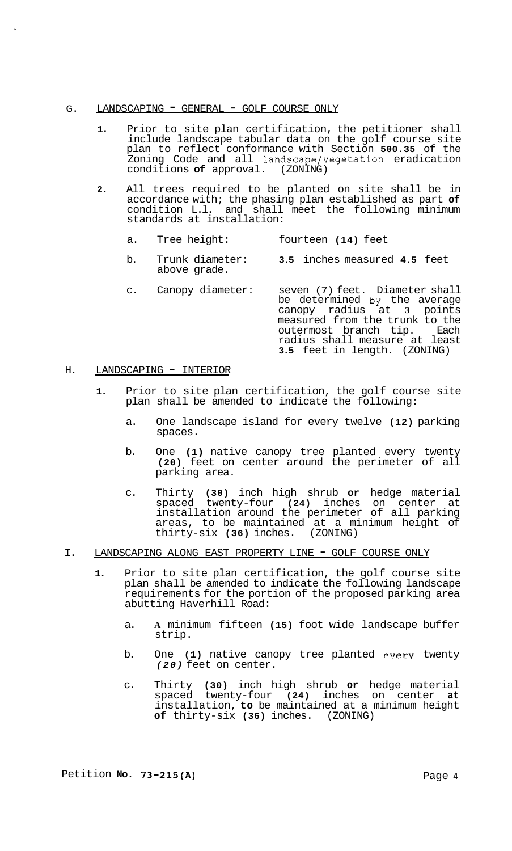### G. LANDSCAPING - GENERAL - GOLF COURSE ONLY

- **1.** Prior to site plan certification, the petitioner shall include landscape tabular data on the golf course site plan to reflect conformance with Section **500.35** of the Zoning Code and all landscape/vegetation eradication<br>conditions of approval. (ZONING) conditions of approval.
- **2.** All trees required to be planted on site shall be in accordance with; the phasing plan established as part **of**  condition L.l. and shall meet the following minimum standards at installation:
	- a. Tree height: fourteen **(14)** feet
	- b. Trunk diameter: **3.5** inches measured **4.5** feet above grade.
	- c. Canopy diameter: seven (7) feet. Diameter shall be determined by the average canopy radius at **3** points measured from the trunk to the outermost branch tip. Each radius shall measure at least **3.5** feet in length. (ZONING)

#### H. LANDSCAPING - INTERIOR

- **1.** Prior to site plan certification, the golf course site plan shall be amended to indicate the following:
	- a. One landscape island for every twelve **(12)** parking spaces.
	- b. One **(1)** native canopy tree planted every twenty **(20)** feet on center around the perimeter of all parking area.
	- c. Thirty **(30)** inch high shrub **or** hedge material spaced twenty-four **(24)** inches on center at installation around the perimeter of all parking areas, to be maintained at a minimum height of thirty-six **(36)** inches. (ZONING)
- I. LANDSCAPING ALONG EAST PROPERTY LINE GOLF COURSE ONLY
	- **1.** Prior to site plan certification, the golf course site plan shall be amended to indicate the following landscape requirements for the portion of the proposed parking area abutting Haverhill Road:
		- a. **A** minimum fifteen **(15)** foot wide landscape buffer strip.
		- b. One (1) native canopy tree planted every twenty *(20)* feet on center.
		- c. Thirty **(30)** inch high shrub **or** hedge material spaced twenty-four **(24)** inches on center **at**  installation, **to** be maintained at a minimum height **of** thirty-six **(36)** inches. (ZONING)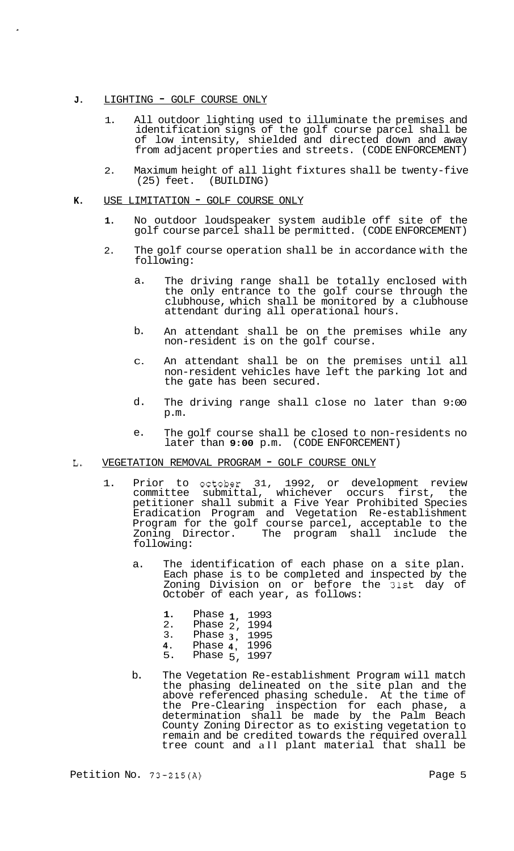#### **J.** LIGHTING - GOLF COURSE ONLY

- 1. All outdoor lighting used to illuminate the premises and identification signs of the golf course parcel shall be of low intensity, shielded and directed down and away from adjacent properties and streets. (CODE ENFORCEMENT)
- 2. Maximum height of all light fixtures shall be twenty-five<br>(25) feet. (BUILDING) (BUILDING)

#### **K.** USE LIMITATION - GOLF COURSE ONLY

- **1.** No outdoor loudspeaker system audible off site of the golf course parcel shall be permitted. (CODE ENFORCEMENT)
- 2. The golf course operation shall be in accordance with the following:
	- a. The driving range shall be totally enclosed with the only entrance to the golf course through the clubhouse, which shall be monitored by a clubhouse attendant during all operational hours.
	- b. An attendant shall be on the premises while any non-resident is on the golf course.
	- C. An attendant shall be on the premises until all non-resident vehicles have left the parking lot and the gate has been secured.
	- d. The driving range shall close no later than 9:00 p.m.
	- e. The golf course shall be closed to non-residents no later than **9:00** p.m. (CODE ENFORCEMENT)

### L. VEGETATION REMOVAL PROGRAM - GOLF COURSE ONLY

- 1. Prior to october 31, 1992, or development review committee submittal, whichever occurs first, the petitioner shall submit a Five Year Prohibited Species Eradication Program and Vegetation Re-establishment Program for the golf course parcel, acceptable to the Zoning Director. The program shall include the following:
	- a. The identification of each phase on a site plan. Each phase is to be completed and inspected by the Zoning Division on or before the 31st day of October of each year, as follows:

| 1. | Phase $1$ , | 1993 |
|----|-------------|------|
| 2. | Phase $2$ , | 1994 |
| 3. | Phase $3$ , | 1995 |
| 4. | Phase $4,$  | 1996 |
| 5. | Phase $5$ , | 1997 |

b. The Vegetation Re-establishment Program will match the phasing delineated on the site plan and the above referenced phasing schedule. At the time of the Pre-Clearing inspection for each phase, a determination shall be made by the Palm Beach County Zoning Director as to existing vegetation to remain and be credited towards the required overall tree count and all plant material that shall be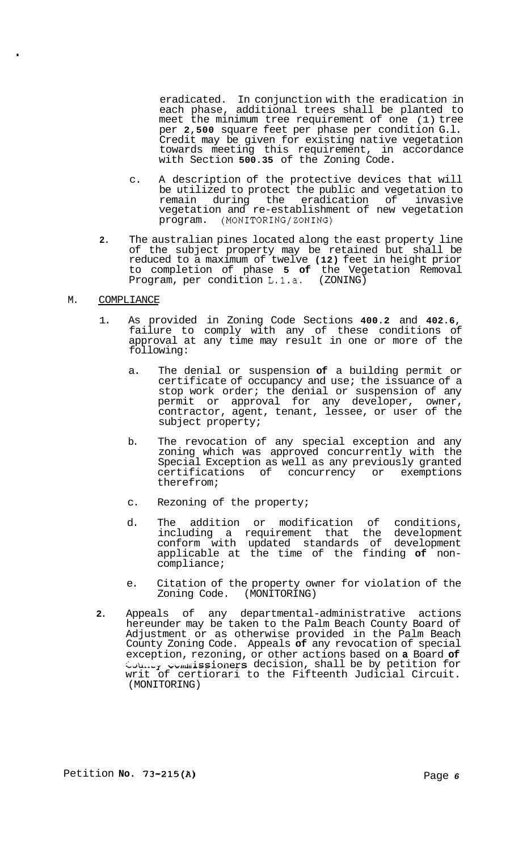eradicated. In conjunction with the eradication in each phase, additional trees shall be planted to meet the minimum tree requirement of one (1) tree per **2,500** square feet per phase per condition G.l. Credit may be given for existing native vegetation towards meeting this requirement, in accordance with Section **500.35** of the Zoning Code.

- c. A description of the protective devices that will be utilized to protect the public and vegetation to remain during the eradication of invasive vegetation and re-establishment of new vegetation program. (MONITORING/ZONING)
- **2.** The australian pines located along the east property line of the subject property may be retained but shall be reduced to a maximum of twelve **(12)** feet in height prior to completion of phase **5 of** the Vegetation Removal Program, per condition L.1.a. (ZONING)

#### M. COMPLIANCE

.

- 1. As provided in Zoning Code Sections **400.2** and **402.6,**  failure to comply with any of these conditions of approval at any time may result in one or more of the following:
	- a. The denial or suspension **of** a building permit or certificate of occupancy and use; the issuance of a stop work order; the denial or suspension of any permit or approval for any developer, owner, contractor, agent, tenant, lessee, or user of the subject property;
	- b. The revocation of any special exception and any zoning which was approved concurrently with the Special Exception as well as any previously granted certifications of concurrency or exemptions therefrom;
	- c. Rezoning of the property;
	- d. The addition or modification of conditions, including a requirement that the development conform with updated standards of development applicable at the time of the finding **of** non- compliance;
	- e. Citation of the property owner for violation of the Zoning Code. (MONITORING)
- **2.** Appeals of any departmental-administrative actions hereunder may be taken to the Palm Beach County Board of Adjustment or as otherwise provided in the Palm Beach County Zoning Code. Appeals **of** any revocation of special exception, rezoning, or other actions based on **a** Board **of**   $\text{Coul},~\text{Coul},~\text{Syl},~\text{Coul},~\text{Soul},~\text{Sball}$  be by petition for writ of certiorari to the Fifteenth Judicial Circuit. (MONITORING)